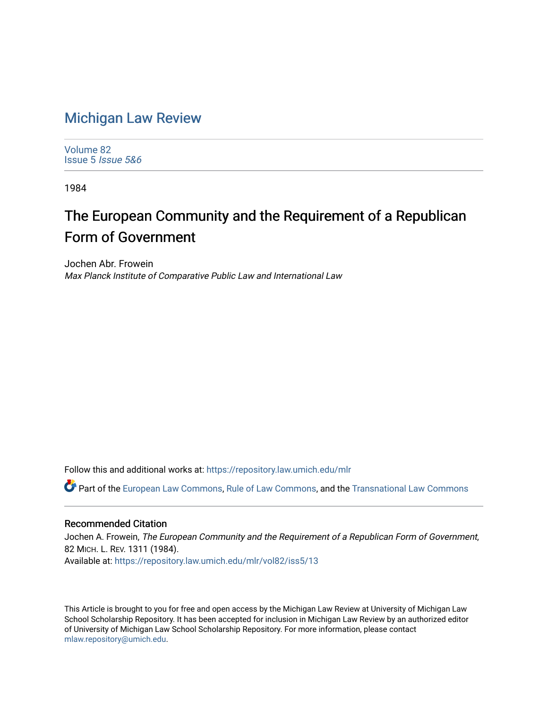## [Michigan Law Review](https://repository.law.umich.edu/mlr)

[Volume 82](https://repository.law.umich.edu/mlr/vol82) [Issue 5](https://repository.law.umich.edu/mlr/vol82/iss5) Issue 5&6

1984

# The European Community and the Requirement of a Republican Form of Government

Jochen Abr. Frowein Max Planck Institute of Comparative Public Law and International Law

Follow this and additional works at: [https://repository.law.umich.edu/mlr](https://repository.law.umich.edu/mlr?utm_source=repository.law.umich.edu%2Fmlr%2Fvol82%2Fiss5%2F13&utm_medium=PDF&utm_campaign=PDFCoverPages) 

Part of the [European Law Commons,](http://network.bepress.com/hgg/discipline/1084?utm_source=repository.law.umich.edu%2Fmlr%2Fvol82%2Fiss5%2F13&utm_medium=PDF&utm_campaign=PDFCoverPages) [Rule of Law Commons](http://network.bepress.com/hgg/discipline/1122?utm_source=repository.law.umich.edu%2Fmlr%2Fvol82%2Fiss5%2F13&utm_medium=PDF&utm_campaign=PDFCoverPages), and the [Transnational Law Commons](http://network.bepress.com/hgg/discipline/1123?utm_source=repository.law.umich.edu%2Fmlr%2Fvol82%2Fiss5%2F13&utm_medium=PDF&utm_campaign=PDFCoverPages) 

#### Recommended Citation

Jochen A. Frowein, The European Community and the Requirement of a Republican Form of Government, 82 MICH. L. REV. 1311 (1984). Available at: [https://repository.law.umich.edu/mlr/vol82/iss5/13](https://repository.law.umich.edu/mlr/vol82/iss5/13?utm_source=repository.law.umich.edu%2Fmlr%2Fvol82%2Fiss5%2F13&utm_medium=PDF&utm_campaign=PDFCoverPages) 

This Article is brought to you for free and open access by the Michigan Law Review at University of Michigan Law School Scholarship Repository. It has been accepted for inclusion in Michigan Law Review by an authorized editor of University of Michigan Law School Scholarship Repository. For more information, please contact [mlaw.repository@umich.edu.](mailto:mlaw.repository@umich.edu)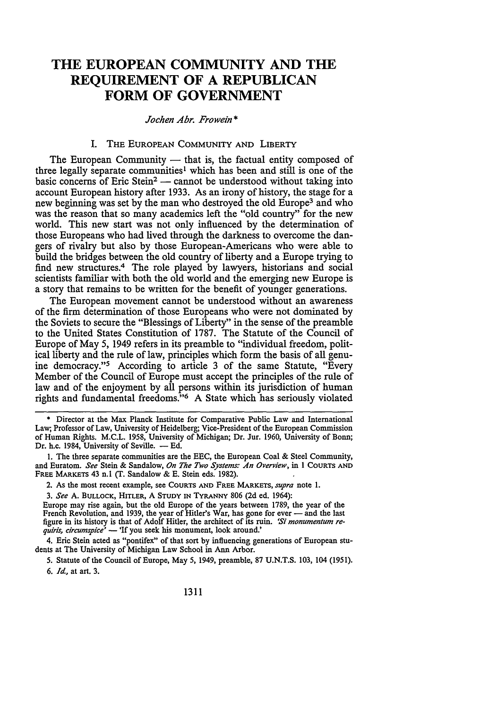### **THE EUROPEAN COMMUNITY AND THE REQUIREMENT OF A REPUBLICAN FORM OF GOVERNMENT**

*Jochen Ahr. Frowein* \*

#### l. THE EUROPEAN COMMUNITY AND LIBERTY

The European Community  $-$  that is, the factual entity composed of three legally separate communities<sup>1</sup> which has been and still is one of the basic concerns of Eric Stein<sup>2</sup> - cannot be understood without taking into account European history after 1933. As an irony of history, the stage for a new beginning was set by the man who destroyed the old Europe<sup>3</sup> and who was the reason that so many academics left the "old country" for the new world. This new start was not only influenced by the determination of those Europeans who had lived through the darkness to overcome the dangers of rivalry but also by those European-Americans who were able to build the bridges between the old country of liberty and a Europe trying to find new structures.4 The role played by lawyers, historians and social scientists familiar with both the old world and the emerging new Europe is a story that remains to be written for the benefit of younger generations.

The European movement cannot be understood without an awareness of the firm determination of those Europeans who were not dominated by the Soviets to secure the "Blessings of Liberty" in the sense of the preamble to the United States Constitution of 1787. The Statute of the Council of Europe of May 5, 1949 refers in its preamble to "individual freedom, political liberty and the rule of law, principles which form the basis of all genuine democracy."<sup>5</sup> According to article 3 of the same Statute, "Every Member of the Council of Europe must accept the principles of the rule of law and of the enjoyment by all persons within its jurisdiction of human rights and fundamental freedoms."6 A State which has seriously violated

• Director at the Max Planck Institute for Comparative Public Law and International Law; Professor of Law, University of Heidelberg; Vice-President of the European Commission of Human Rights. M.C.L. 1958, University of Michigan; Dr. Jur. 1960, University of Bonn; Dr. h.c. 1984, University of Seville. - Ed.

I. The three separate communities are the EEC, the European Coal & Steel Community, and Euratom. *See* Stein & Sandalow, *On The Two Systems: An Overview,* in l COURTS AND FREE MARKETS 43 n.l (T. Sandalow & E. Stein eds. 1982).

2. As the most recent example, see COURTS AND FREE MARKETS, *supra* note l.

3. *See* A. BULLOCK, HlTLER, A STUDY IN TYRANNY 806 (2d ed. 1964):

Europe may rise again, but the old Europe of the years between 1789, the year of the French Revolution, and 1939, the year of Hitler's War, has gone for ever - and the last figure in its history is that of Adolf Hitler, the architect of its ruin. *'Si monumentum requiris, circumspice'* - 'If you seek his monument, look around.'

4. Eric Stein acted as "pontifex" of that sort by influencing generations of European students at The University of Michigan Law School in Ann Arbor.

5. Statute of the Council of Europe, May 5, 1949, preamble, 87 U.N.T.S. 103, 104 (1951). 6. *Id.,* at art. 3.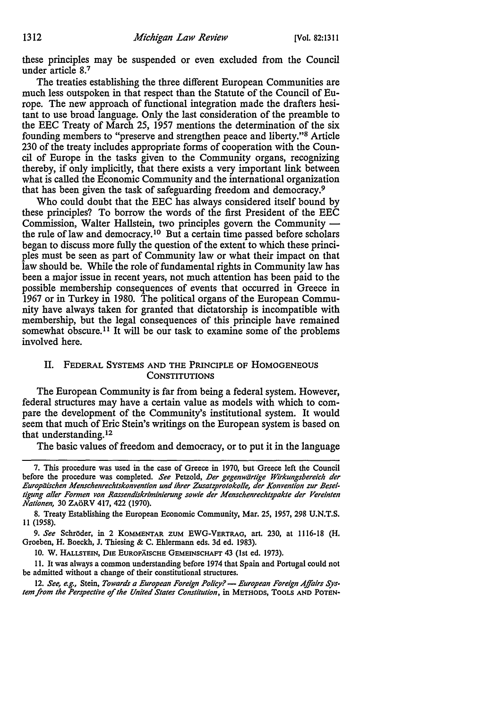these principles may be suspended or even excluded from the Council under article 8.<sup>7</sup>

The treaties establishing the three different European Communities are much less outspoken in that respect than the Statute of the Council of Europe. The new approach of functional integration made the drafters hesitant to use broad language. Only the last consideration of the preamble to the EEC Treaty of March 25, 1957 mentions the determination of the six founding members to "preserve and strengthen peace and liberty."8 Article 230 of the treaty includes appropriate forms of cooperation with the Council of Europe in the tasks given to the Community organs, recognizing thereby, if only implicitly, that there exists a very important link between what is called the Economic Community and the international organization that has been given the task of safeguarding freedom and democracy.<sup>9</sup>

Who could doubt that the EEC has always considered itself bound by these principles? To borrow the words of the first President of the EEC Commission, Walter Hallstein, two principles govern the Community the rule of law and democracy.<sup>10</sup> But a certain time passed before scholars began to discuss more fully the question of the extent to which these principles must be seen as part of Community law or what their impact on that law should be. While the role of fundamental rights in Community law has been a major issue in recent years, not much attention has been paid to the possible membership consequences of events that occurred in Greece in 1967 or in Turkey in 1980. The political organs of the European Community have always taken for granted that dictatorship is incompatible with membership, but the legal consequences of this principle have remained somewhat obscure.<sup>11</sup> It will be our task to examine some of the problems involved here.

#### IL FEDERAL SYSTEMS AND THE PRINCIPLE OF HOMOGENEOUS **CONSTITUTIONS**

The European Community is far from being a federal system. However, federal structures may have a certain value as models with which to compare the development of the Community's institutional system. It would seem that much of Eric Stein's writings on the European system is based on that understanding. 12

The basic values of freedom and democracy, or to put it in the language

10. W. HALLSTEIN, DIE EUROPÄISCHE GEMEINSCHAFT 43 (1st ed. 1973).

11. It was always a common understanding before 1974 that Spain and Portugal could not be admitted without a change of their constitutional structures.

12. See, e.g., Stein, *Towards a European Foreign Policy?* — *European Foreign Affairs System from the Perspective of the United States Constitution*, in METHODS, TOOLS AND POTEN-

<sup>7.</sup> This procedure was used in the case of Greece in 1970, but Greece left the Council before the procedure was completed. See Petzold, Der gegenwärtige Wirkungsbereich der Europäischen Menschenrechtskonvention und ihrer Zusatzprotokolle, der Konvention zur Beseitigung aller Formen von Rassendiskriminierung sowie der Menschenrechtspakte der Vereinten *Nationen,* 30 ZAoRV 417, 422 (1970).

<sup>8.</sup> Treaty Establishing the European Economic Community, Mar. 25, 1957, 298 U.N.T.S. 11 (1958).

<sup>9.</sup> *See* SchrOder, in 2 KOMMENTAR ZUM EWG-VERTRAG, art. 230, at 1116-18 (H. Groeben, H. Boeckh, J. Thiesing & C. Ehlermann eds. 3d ed. 1983).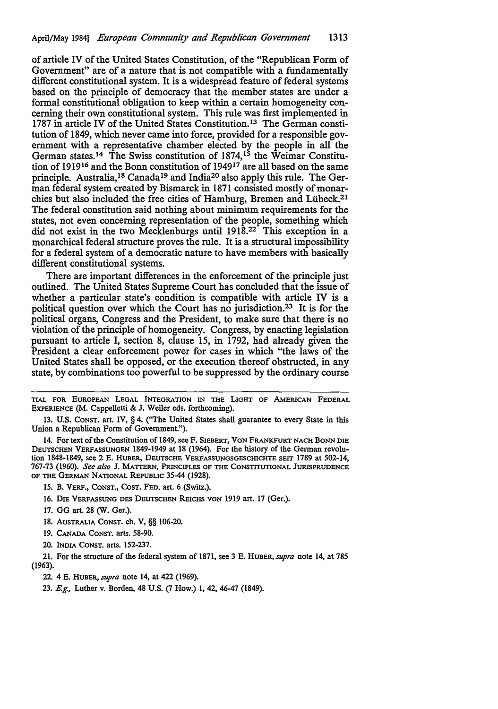of article IV of the United States Constitution, of the "Republican Form of Government" are of a nature that is not compatible with a fundamentally different constitutional system. It is a widespread feature of federal systems based on the principle of democracy that the member states are under a formal constitutional obligation to keep within a certain homogeneity concerning their own constitutional system. This rule was first implemented in 1787 in article IV of the United States Constitution.<sup>13</sup> The German constitution of 1849, which never came into force, provided for a responsible government with a representative chamber elected by the people in all the German states.<sup>14</sup> The Swiss constitution of 1874,<sup>15</sup> the Weimar Constitution of 191916 and the Bonn constitution of 194917 are all based on the same principle. Australia, 18 Canada 19 and India20 also apply this rule. The German federal system created by Bismarck in 1871 consisted mostly of monarchies but also included the free cities of Hamburg, Bremen and Lubeck.21 The federal constitution said nothing about minimum requirements for the states, not even concerning representation of the people, something which did not exist in the two Mecklenburgs until 1918.22 This exception in a monarchical federal structure proves the rule. It is a structural impossibility for a federal system of a democratic nature to have members with basically different constitutional systems.

There are important differences in the enforcement of the principle just outlined. The United States Supreme Court has concluded that the issue of whether a particular state's condition is compatible with article IV is a political question over which the Court has no jurisdiction.23 It is for the political organs, Congress and the President, to make sure that there is no violation of the principle of homogeneity. Congress, by enacting legislation pursuant to article I, section 8, clause 15, in 1792, had already given the President a clear enforcement power for cases in which "the laws of the United States shall be opposed, or the execution thereof obstructed, in any state, by combinations too powerful to be suppressed by the ordinary course

- 17. GG art. 28 (W. Ger.).
- 18. AUSTRALIA CONST. ch. V, §§ 106-20.
- 19. CANADA CONST. arts. 58-90.
- 20. INDIA CONST. arts. 152-237.

21. For the structure of the federal system of 1871, see 3 E. HUBER, *supra* note 14, at 785 (1963).

TIAL FOR EUROPEAN LEGAL INTEGRATION IN THE LIGHT OF AMERICAN FEDERAL EXPERIENCE (M. Cappelletti & J. Weiler eds. forthcoming).

<sup>13.</sup> U.S. CONST. art. IV, § 4. (''The United States shall guarantee to every State in this Union a Republican Form of Government.").

<sup>14.</sup> For text of the Constitution of 1849, see F. SIEBERT, VON FRANKFURT NACH BONN DIE DEUTSCHEN VERFASSUNGEN 1849-1949 at 18 (1964). For the history of the German revolution 1848-1849, see 2 E. HUBER, DEUTSCHE VERFASSUNGSGESCHICHTE SEIT 1789 at 502-14, 767-73 (1960). *See also* J. MATTERN, PRINCIPLES OF THE CONSTITUTIONAL JURISPRUDENCE OF THE GERMAN NATIONAL REPUBLIC 35-44 (1928).

<sup>15.</sup> B. VERF., CONST., COST. FED. art. 6 {Switz.).

<sup>16.</sup> DIE VERFASSUNG DES DEUTSCHEN REICHS VON 1919 art. 17 (Ger.).

<sup>22. 4</sup> E. HUBER, *supra* note 14, at 422 (1969).

<sup>23.</sup> E.g., Luther v. Borden, 48 U.S. (7 How.) 1, 42, 46-47 (1849).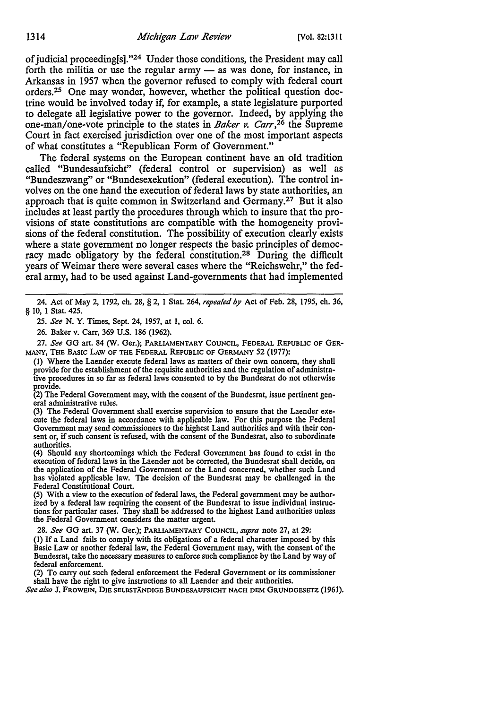of judicial proceeding[s]."24 Under those conditions, the President may call forth the militia or use the regular army  $-$  as was done, for instance, in Arkansas in 1957 when the governor refused to comply with federal court orders.25 One may wonder, however, whether the political question doctrine would be involved today if, for example, a state legislature purported to delegate all legislative power to the governor. Indeed, by applying the one-man/one-vote principle to the states in *Baker v. Carr,26* the Supreme Court in fact exercised jurisdiction over one of the most important aspects of what constitutes a "Republican Form of Government."

The federal systems on the European continent have an old tradition called "Bundesaufsicht" (federal control or supervision) as well as "Bundeszwang" or "Bundesexekution" (federal execution). The control involves on the one hand the execution of federal laws by state authorities, an approach that is quite common in Switzerland and Germany.<sup>27</sup> But it also includes at least partly the procedures through which to insure that the provisions of state constitutions are compatible with the homogeneity provisions of the federal constitution. The possibility of execution clearly exists where a state government no longer respects the basic principles of democracy made obligatory by the federal constitution.28 During the difficult years of Weimar there were several cases where the "Reichswehr," the federal army, had to be used against Land-governments that had implemented

27. *See* GG art. 84 (W. Ger.); PARLIAMENTARY COUNCIL, FEDERAL REPUBLIC OF GER-MANY, THE BASIC LAW OF THE FEDERAL REPUBLIC OF GERMANY 52 (1977):

{I) Where the Laender execute federal laws as matters of their own concern, they shall provide for the establishment of the requisite authorities and the regulation of administrative procedures in so far as federal laws consented to by the Bundesrat do not otherwise provide.

(2) The Federal Government may, with the consent of the Bundesrat, issue pertinent general administrative rules.

(3) The Federal Government shall exercise supervision to ensure that the Laender execute the federal laws in accordance with applicable law. For this purpose the Federal Government may send commissioners to the highest Land authorities and with their consent or, if such consent is refused, with the consent of the Bundesrat, also to subordinate authorities.

(4) Should any shortcomings which the Federal Government has found to exist in the execution of federal laws in the Laender not be corrected, the Bundesrat shall decide, on the application of the Federal Government or the Land concerned, whether such Land has violated applicable law. The decision of the Bundesrat may be challenged in the Federal Constitutional Court.

(5) With a view to the execution of federal laws, the Federal government may be authorized by a federal law requiring the consent of the Bundesrat to issue individual instructions for particular cases. They shall be addressed to the highest Land authorities unless the Federal Government considers the matter urgent.

28. *See* GG art. 37 (W. Ger.); PARLIAMENTARY COUNCIL, *supra* note 27, at 29:

(I) If a Land fails to comply with its obligations of a federal character imposed by this Basic Law or another federal law, the Federal Government may, with the consent of the Bundesrat, take the necessary measures to enforce such compliance by the Land by way of federal enforcement.

(2) To carry out such federal enforcement the Federal Government or its commissioner shall have the right to give instructions to all Laender and their authorities.

*See also* J. FROWEIN, DIE SELBSTANDIGE BUNDESAUFSICHT NACH DEM GRUNDGESETZ (1961).

<sup>24.</sup> Act of May 2, 1792, ch. 28, § 2, I Stat. 264, *repealed* by Act of Feb. 28, 1795, ch. 36, § IO, I Stat. 425.

<sup>25.</sup> *See* **N. Y.** Times, Sept. 24, 1957, at I, col. 6.

<sup>26.</sup> Baker v. Carr, 369 U.S. 186 (1962).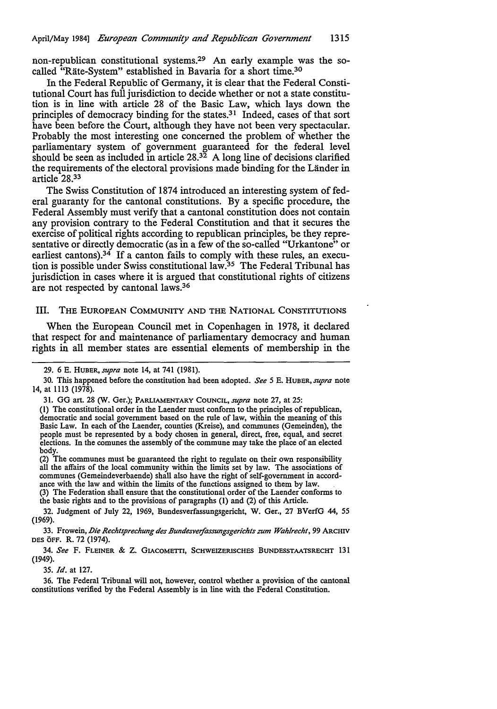non-republican constitutional systems.29 An early example was the socalled "Rate-System" established in Bavaria for a short time.30

In the Federal Republic of Germany, it is clear that the Federal Constitutional Court has full jurisdiction to decide whether or not a state constitution is in line with article 28 of the Basic Law, which lays down the principles of democracy binding for the states.<sup>31</sup> Indeed, cases of that sort have been before the Court, although they have not been very spectacular. Probably the most interesting one concerned the problem of whether the parliamentary system of government guaranteed for the federal level should be seen as included in article  $28.3^{\overline{2}}$  A long line of decisions clarified the requirements of the electoral provisions made binding for the Lander in article 28.33

The Swiss Constitution of 1874 introduced an interesting system of federal guaranty for the cantonal constitutions. By a specific procedure, the Federal Assembly must verify that a cantonal constitution does not contain any provision contrary to the Federal Constitution and that it secures the exercise of political rights according to republican principles, be they representative or directly democratic (as in a few of the so-called "Urkantone" or earliest cantons). $3^4$  If a canton fails to comply with these rules, an execution is possible under Swiss constitutional law.35 The Federal Tribunal has jurisdiction in cases where it is argued that constitutional rights of citizens are not respected by cantonal laws.<sup>36</sup>

#### Ill. THE EUROPEAN COMMUNITY AND THE NATIONAL CONSTITUTIONS

When the European Council met in Copenhagen in 1978, it declared that respect for and maintenance of parliamentary democracy and human rights in all member states are essential elements of membership in the

(2) The communes must be guaranteed the right to regulate on their own responsibility all the affairs of the local community within the limits set by law. The associations of communes (Gemeindeverbaende) shall also have the right of self-government in accordance with the law and within the limits of the functions assigned to them by law.

(3) The Federation shall ensure that the constitutional order of the Laender conforms to the basic rights and to the provisions of paragraphs **(1)** and (2) of this Article.

32. Judgment of July 22, 1969, Bundesverfassungsgericht, W. Ger., 27 BVerfG 44, *55*  (1969).

33. Frowein, Die Rechtsprechung des Bundesverfassungsgerichts zum Wahlrecht, 99 ARCHIV DES OFF. **R.** 72 (1974).

34. *See* F. FLEINER & z. GIACOMETTI, ScHWEIZERISCHES BUNDESSTAATSRECHT 131 (1949).

35. *Id.* at 127.

36. The Federal Tribunal will not, however, control whether a provision of the cantonal constitutions verified by the Federal Assembly is in line with the Federal Constitution.

<sup>29. 6</sup> E. HUBER, *supra* note 14, at 741 (1981).

<sup>30.</sup> This happened before the constitution had been adopted. *See 5* E. HUBER, *supra* note 14, at 1113 (1978).

<sup>31.</sup> GG art. 28 (W. Ger.); PARLIAMENTARY COUNCIL, *supra* note 27, at 25:

<sup>(1)</sup> The constitutional order in the Laender must conform to the principles of republican, democratic and social government based on the rule of law, within the meaning of this Basic Law. In each of the Laender, counties (Kreise), and communes (Gemeinden), the people must be represented by a body chosen in general, direct, free, equal, and secret elections. In the comunes the assembly of the commune may take the place of an elected body.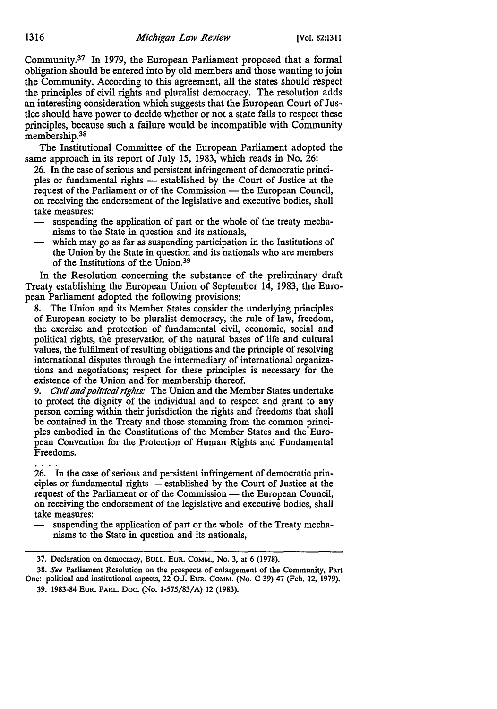Community.37 In 1979, the European Parliament proposed that a formal obligation should be entered into by old members and those wanting to join the Community. According to this agreement, all the states should respect the principles of civil rights and pluralist democracy. The resolution adds an interesting consideration which suggests that the European Court of Justice should have power to decide whether or not a state fails to respect these principles, because such a failure would be incompatible with Community membership.<sup>38</sup>

The Institutional Committee of the European Parliament adopted the same approach in its report of July 15, 1983, which reads in No. 26:

26. In the case of serious and persistent infringement of democratic principles or fundamental rights - established by the Court of Justice at the request of the Parliament or of the Commission - the European Council, on receiving the endorsement of the legislative and executive bodies, shall take measures:

- suspending the application of part or the whole of the treaty mechanisms to the State in question and its nationals,
- which may go as far as suspending participation in the Institutions of the Union by the State in question and its nationals who are members of the Institutions of the Union.39

In the Resolution concerning the substance of the preliminary draft Treaty establishing the European Union of September 14, 1983, the European Parliament adopted the following provisions:

8. The Union and its Member States consider the underlying principles of European society to be pluralist democracy, the rule of law, freedom, the exercise and protection of fundamental civil, economic, social and political rights, the preservation of the natural bases of life and cultural values, the fulfilment of resulting obligations and the principle of resolving international disputes through the intermediary of international organizations and negotiations; respect for these principles is necessary for the existence of the Union and for membership thereof.

9. *Civil and political rights:* The Union and the Member States undertake to protect the dignity of the individual and to respect and grant to any person coming within their jurisdiction the rights and freedoms that shall be contained in the Treaty and those stemming from the common principles embodied in the Constitutions of the Member States and the European Convention for the Protection of Human Rights and Fundamental Freedoms.

26. In the case of serious and persistent infringement of democratic principles or fundamental rights — established by the Court of Justice at the request of the Parliament or of the Commission - the European Council, on receiving the endorsement of the legislative and executive bodies, shall take measures:

suspending the application of part or the whole of the Treaty mechanisms to the State in question and its nationals,

<sup>37.</sup> Declaration on democracy, BULL. EuR. COMM., No. 3, at 6 (1978).

<sup>38.</sup> *See* Parliament Resolution on the prospects of enlargement of the Community, Part One: political and institutional aspects, 22 O.J. EUR. COMM. (No. C 39) 47 (Feb. 12, 1979).

<sup>39. 1983-84</sup> EUR. PARL. Doc. (No. 1-575/83/A) 12 (1983).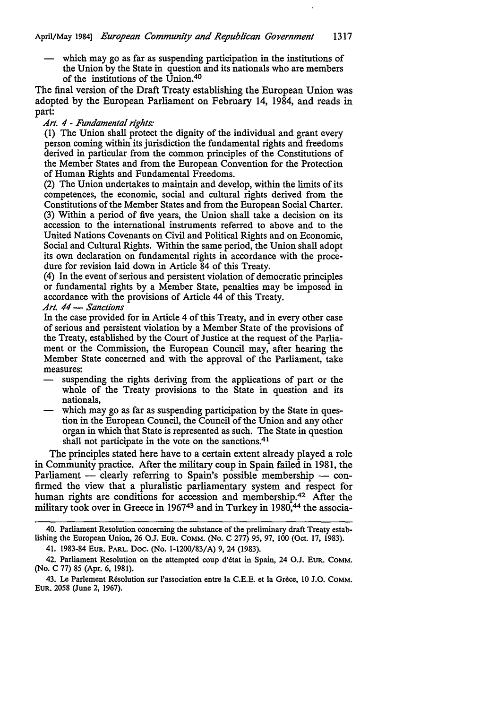which may go as far as suspending participation in the institutions of the Union by the State in question and its nationals who are members of the institutions of the Union.40

The final version of the Draft Treaty establishing the European Union was adopted by the European Parliament on February 14, 1984, and reads in part:

#### *Art. 4* - *Fundamental rights:*

(1) The Union shall protect the dignity of the individual and grant every person coming within its jurisdiction the fundamental rights and freedoms derived in particular from the common principles of the Constitutions of the Member States and from the European Convention for the Protection of Human Rights and Fundamental Freedoms.

(2) The Union undertakes to maintain and develop, within the limits of its competences, the economic, social and cultural rights derived from the Constitutions of the Member States and from the European Social Charter. (3) Within a period of five years, the Union shall take a decision on its accession to the international instruments referred to above and to the United Nations Covenants on Civil and Political Rights and on Economic, Social and Cultural Rights. Within the same period, the Union shall adopt its own declaration on fundamental rights in accordance with the procedure for revision laid down in Article 84 of this Treaty.

(4) In the event of serious and persistent violation of democratic principles or fundamental rights by a Member State, penalties may be imposed in accordance with the provisions of Article 44 of this Treaty.

#### *Art. 44* - *Sanctions*

In the case provided for in Article 4 of this Treaty, and in every other case of serious and persistent violation by a Member State of the provisions of the Treaty, established by the Court of Justice at the request of the Parliament or the Commission, the European Council may, after hearing the Member State concerned and with the approval of the Parliament, take measures:

- suspending the rights deriving from the applications of part or the whole of the Treaty provisions to the State in question and its nationals,
- which may go as far as suspending participation by the State in question in the European Council, the Council of the Union and any other organ in which that State is represented as such. The State in question shall not participate in the vote on the sanctions.<sup>41</sup>

The principles stated here have to a certain extent already played a role in Community practice. After the military coup in Spain failed in 1981, the Parliament - clearly referring to Spain's possible membership  $-$  confirmed the view that a pluralistic parliamentary system and respect for human rights are conditions for accession and membership.<sup>42</sup> After the military took over in Greece in 1967<sup>43</sup> and in Turkey in 1980,<sup>44</sup> the associa-

41. 1983-84 EUR. PARL. Doc. (No. 1-1200/83/A) 9, 24 (1983).

<sup>40.</sup> Parliament Resolution concerning the substance of the preliminary draft Treaty establishing the European Union, 26 O.J. EUR. COMM. (No. C 277) 95, 97, 100 (Oct. 17, 1983).

<sup>42.</sup> Parliament Resolution on the attempted coup d'etat in Spain, 24 O.J. EUR. COMM. (No, C 77) 85 (Apr. 6, 1981).

<sup>43.</sup> Le Parlement Resolution sur !'association entre la C.E.E. et la Grece, 10 J.O. COMM. EUR. 2058 (June 2, 1967).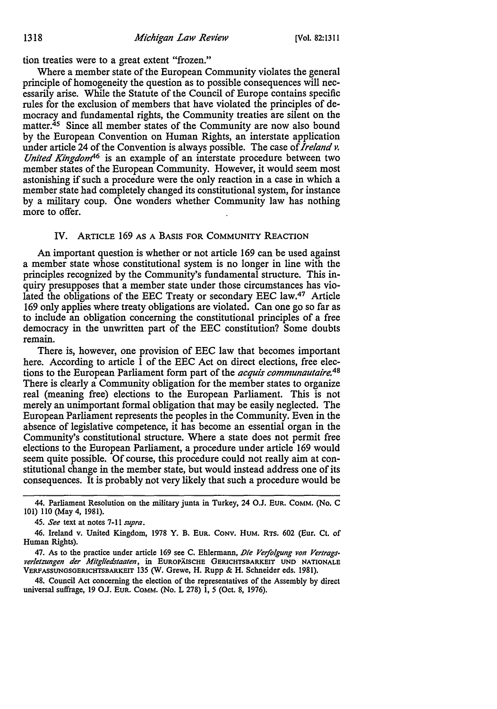tion treaties were to a great extent "frozen."

Where a member state of the European Community violates the general principle of homogeneity the question as to possible consequences will necessarily arise. While the Statute of the Council of Europe contains specific rules for the exclusion of members that have violated the principles of democracy and fundamental rights, the Community treaties are silent on the matter.<sup>45</sup> Since all member states of the Community are now also bound by the European Convention on Human Rights, an interstate application under article 24 of the Convention is always possible. The case of *Ireland v. United Kingdom*<sup>46</sup> is an example of an interstate procedure between two member states of the European Community. However, it would seem most astonishing if such a procedure were the only reaction in a case in which a member state had completely changed its constitutional system, for instance by a military coup. One wonders whether Community law has nothing more to offer.

#### IV. ARTICLE 169 AS A BASIS FOR COMMUNITY REACTION

An important question is whether or not article 169 can be used against a member state whose constitutional system is no longer in line with the principles recognized by the Community's fundamental structure. This inquiry presupposes that a member state under those circumstances has violated the obligations of the EEC Treaty or secondary EEC law.47 Article 169 only applies where treaty obligations are violated. Can one go so far as to include an obligation concerning the constitutional principles of a free democracy in the unwritten part of the EEC constitution? Some doubts remain.

There is, however, one provision of EEC law that becomes important here. According to article 1 of the EEC Act on direct elections, free elections to the European Parliament form part of the *acquis communautaire.48*  There is clearly a Community obligation for the member states to organize real (meaning free) elections to the European Parliament. This is not merely an unimportant formal obligation that may be easily neglected. The European Parliament represents the peoples in the Community. Even in the absence of legislative competence, it has become an essential organ in the Community's constitutional structure. Where a state does not permit free elections to the European Parliament, a procedure under article 169 would seem quite possible. Of course, this procedure could not really aim at constitutional change in the member state, but would instead address one of its consequences. It is probably not very likely that such a procedure would be

47. As to the practice under article 169 see C. Ehlermann, *Die Verfolgung von Vertragsver/elzungen der Mitgliedstaaten,* in EUROPAISCHE GERICHTSBARKEIT UNO NATIONALE VERFASSUNGSGERICHTSBARKEIT 135 (W. Grewe, H. Rupp & H. Schneider eds. 1981).

48. Council Act concerning the election of the representatives of the Assembly by direct universal suffrage, 19 OJ. EUR. COMM. (No. L 278) I, 5 (Oct. 8, 1976).

<sup>44.</sup> Parliament Resolution on the military junta in Turkey, 24 O.J. EUR. COMM. (No. C 101) 110 (May 4, 1981).

<sup>45.</sup> *See* text at notes 7-11 *supra.* 

<sup>46.</sup> Ireland v. United Kingdom, 1978 Y. B. EUR. CONV. HUM. RTS. 602 (Eur. Ct. of Human Rights).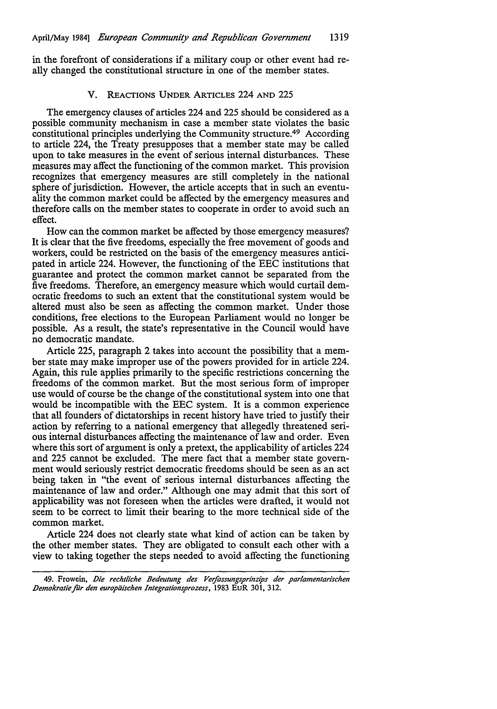in the forefront of considerations if a military coup or other event had really changed the constitutional structure in one of the member states.

#### V. REACTIONS UNDER ARTICLES 224 AND 225

The emergency clauses of articles 224 and 225 should be considered as a possible community mechanism in case a member state violates the basic constitutional principles underlying the Community structure.49 According to article 224, the Treaty presupposes that a member state may be called upon to take measures in the event of serious internal disturbances. These measures may affect the functioning of the common market. This provision recognizes that emergency measures are still completely in the national sphere of jurisdiction. However, the article accepts that in such an eventuality the common market could be affected by the emergency measures and therefore calls on the member states to cooperate in order to avoid such an effect.

How can the common market be affected by those emergency measures? It is clear that the five freedoms, especially the free movement of goods and workers, could be restricted on the basis of the emergency measures anticipated in article 224. However, the functioning of the EEC institutions that guarantee and protect the common market cannot be separated from the five freedoms. Therefore, an emergency measure which would curtail democratic freedoms to such an extent that the constitutional system would be altered must also be seen as affecting the common market. Under those conditions, free elections to the European Parliament would no longer be possible. As a result, the state's representative in the Council would have no democratic mandate.

Article 225, paragraph 2 takes into account the possibility that a member state may make improper use of the powers provided for in article 224. Again, this rule applies primarily to the specific restrictions concerning the freedoms of the common market. But the most serious form of improper use would of course be the change of the constitutional system into one that would be incompatible with the EEC system. It is a common experience that all founders of dictatorships in recent history have tried to justify their action by referring to a national emergency that allegedly threatened serious internal disturbances affecting the maintenance of law and order. Even where this sort of argument is only a pretext, the applicability of articles 224 and 225 cannot be excluded. The mere fact that a member state government would seriously restrict democratic freedoms should be seen as an act being taken in "the event of serious internal disturbances affecting the maintenance of law and order." Although one may admit that this sort of applicability was not foreseen when the articles were drafted, it would not seem to be correct to limit their bearing to the more technical side of the common market.

Article 224 does not clearly state what kind of action can be taken by the other member states. They are obligated to consult each other with a view to taking together the steps needed to avoid affecting the functioning

<sup>49.</sup> Frowein, *Die recht/iche Bedeutung des Verfassungsprinzips der parlamentarischen Demokratie für den europäischen Integrationsprozess,* 1983 EUR 301, 312.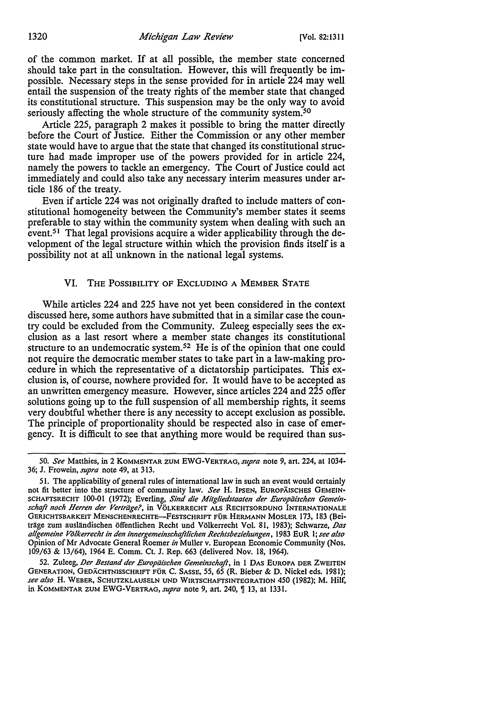of the common market. If at all possible, the member state concerned should take part in the consultation. However, this will frequently be impossible. Necessary steps in the sense provided for in article 224 may well entail the suspension of the treaty rights of the member state that changed its constitutional structure. This suspension may be the only way to avoid seriously affecting the whole structure of the community system.<sup>50</sup>

Article 225, paragraph 2 makes it possible to bring the matter directly before the Court of Justice. Either the Commission or any other member state would have to argue that the state that changed its constitutional structure had made improper use of the powers provided for in article 224, namely the powers to tackle an emergency. The Court of Justice could act immediately and could also take any necessary interim measures under article 186 of the treaty.

Even if article 224 was not originally drafted to include matters of constitutional homogeneity between the Community's member states it seems preferable to stay within the community system when dealing with such an event.<sup>51</sup> That legal provisions acquire a wider applicability through the development of the legal structure within which the provision finds itself is a possibility not at all unknown in the national legal systems.

#### VI. THE POSSIBILITY OF EXCLUDING A MEMBER STATE

While articles 224 and 225 have not yet been considered in the context discussed here, some authors have submitted that in a similar case the country could be excluded from the Community. Zuleeg especially sees the exclusion as a last resort where a member state changes its constitutional structure to an undemocratic system.<sup>52</sup> He is of the opinion that one could not require the democratic member states to take part in a law-making procedure in which the representative of a dictatorship participates. This exclusion is, of course, nowhere provided for. It would have to be accepted as an unwritten emergency measure. However, since articles 224 and 225 offer solutions going up to the full suspension of all membership rights, it seems very doubtful whether there is any necessity to accept exclusion as possible. The principle of proportionality should be respected also in case of emergency. It is difficult to see that anything more would be required than sus-

<sup>50.</sup> See Matthies, in 2 KOMMENTAR ZUM EWG-VERTRAG, *supra* note 9, art. 224, at 1034-36; J. Frowein, *Sllpra* note 49, at 313.

*<sup>5</sup>* I. The applicability of general rules of international Jaw in such an event would certainly not fit better into the structure of community law. *See* H. IPSEN, EUROPAISCHES GEMEIN-SCHAFTSRECHT 100-01 (1972); Everling, Sind die Mitgliedstaaten der Europäischen Gemein*schqji noch Herren der Verlriige?,* in VoLKERRECHT ALS RECHTSORDUNG INTERNATIONALE GERICHTSBARKEIT MENSCHENRECHTE-FESTSCHRIFT FÜR HERMANN MOSLER 173, 183 (Beiträge zum ausländischen öffentlichen Recht und Völkerrecht Vol. 81, 1983); Schwarze, Das *allgemeine Volkerrechl in den innergemeinschqfilichen Rechtsbezieh11nge11,* 1983 EuR I; *see also*  Opinion of Mr Advocate General Roemer *in* Muller v. European Economic Community (Nos. 109/63 & 13/64), 1964 E. Comm. Ct. J. Rep. 663 (delivered Nov. 18, 1964).

<sup>52.</sup> Zuleeg, *Der Bestand der Europiiischen Gemeinschafl,* in I DAS EUROPA DER ZWEITEN GENERATION, GEDACHTNISSCHRIFT FUR C. SASSE, 55, 65 (R. Bieber & D. Nickel eds. 1981); *see also* H. WEBER, SCHUTZKLAUSELN UND WJRTSCHAFTSINTEGRATION 450 (1982); M. Hilf, in KOMMENTAR ZUM EWG-VERTRAG, *supra* note 9, art. 240, *[13, at 1331.*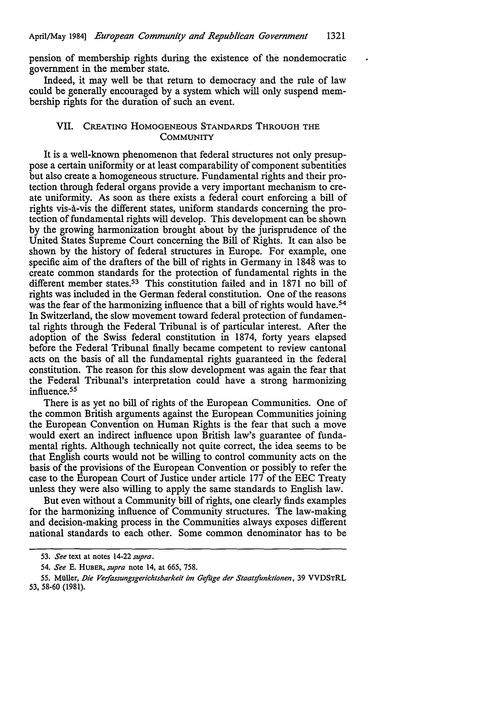pension of membership rights during the existence of the nondemocratic government in the member state.

Indeed, it may well be that return to democracy and the rule of law could be generally encouraged by a system which will only suspend membership rights for the duration of such an event.

#### **VIL** CREATING HOMOGENEOUS STANDARDS THROUGH THE **COMMUNITY**

It is a well-known phenomenon that federal structures not only presuppose a certain uniformity or at least comparability of component subentities but also create a homogeneous structure. Fundamental rights and their protection through federal organs provide a very important mechanism to create uniformity. As soon as there exists a federal court enforcing a bill of rights vis-a-vis the different states, uniform standards concerning the protection of fundamental rights will develop. This development can be shown by the growing harmonization brought about by the jurisprudence of the United States Supreme Court concerning the Bill of Rights. It can also be shown by the history of federal structures in Europe. For example, one specific aim of the drafters of the bill of rights in Germany in 1848 was to create common standards for the protection of fundamental rights in the different member states.<sup>53</sup> This constitution failed and in 1871 no bill of rights was included in the German federal constitution. One of the reasons was the fear of the harmonizing influence that a bill of rights would have.<sup>54</sup> In Switzerland, the slow movement toward federal protection of fundamental rights through the Federal Tribunal is of particular interest. After the adoption of the Swiss federal constitution in 1874, forty years elapsed before the Federal Tribunal finally became competent to review cantonal acts on the basis of all the fundamental rights guaranteed in the federal constitution. The reason for this slow development was again the fear that the Federal Tribunal's interpretation could have a strong harmonizing influence.55

There is as yet no bill of rights of the European Communities. One of the common British arguments against the European Communities joining the European Convention on Human Rights is the fear that such a move would exert an indirect influence upon British law's guarantee of fundamental rights. Although technically not quite correct, the idea seems to be that English courts would not be willing to control community acts on the basis of the provisions of the European Convention or possibly to refer the case to the European Court of Justice under article 177 of the EEC Treaty unless they were also willing to apply the same standards to English law.

But even without a Community bill of rights, one clearly finds examples for the harmonizing influence of Community structures. The law-making and decision-making process in the Communities always exposes different national standards to each other. Some common denominator has to be

<sup>53.</sup> *See* text at notes 14-22 *supra.* 

<sup>54.</sup> *See* E. HUBER, *supra* note 14, at 665, 758.

<sup>55.</sup> MUller, *Die Verfassungsgerichtsbarkeil im Gefuge der Staatsfunktionen,* 39 VVDSTRL 53, 58-60 (1981).